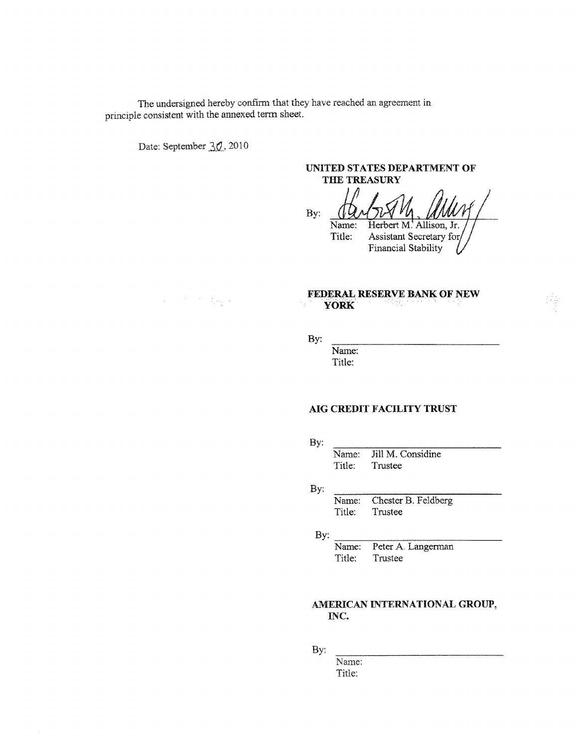The undersigned hereby confirm that they have reached an agreement in principle consistent with the annexed term sheet.

Date: September 30, 2010

# UNITED STATES DEPARTMENT OF THE TREASURY

By: Herbert M. Allison, Jr. Name: Assistant Secretary for Title: **Financial Stability** 

 $\Delta \phi = 2 \pi \pi^2 / 3 \mu_{\rm Pl}$  )

## FEDERAL RESERVE BANK OF NEW **YORK**

By:

Name: Title:

## AIG CREDIT FACILITY TRUST

By:

Jill M. Considine Name: Title: Trustee

By:

Chester B. Feldberg Name: Title: Trustee

By:

Peter A. Langerman Name: Title: Trustee

# AMERICAN INTERNATIONAL GROUP, INC.

By:

Name: Title: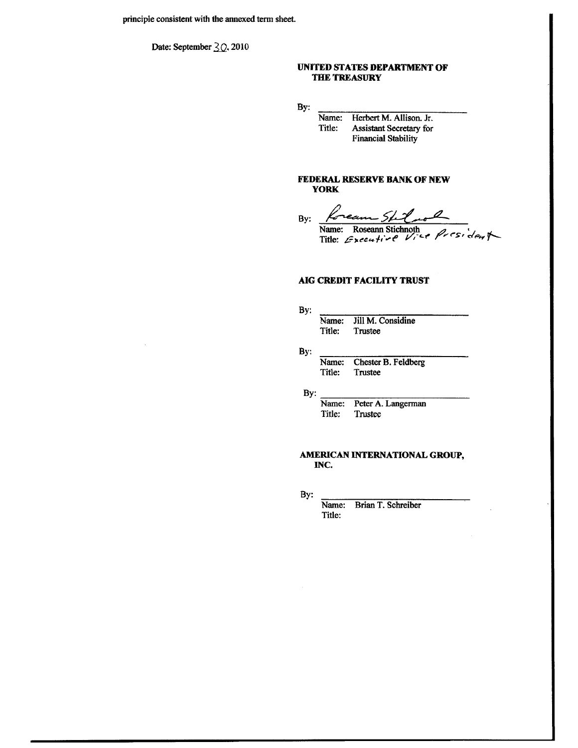Date: September  $\frac{2}{2}$ , 2010

## UNITED STATES DEPARTMENT OF THE TREASURY

By:

Herbert M. Allison. Jr. Name: Assistant Secretary for Title: **Financial Stability** 

### FEDERAL RESERVE BANK OF NEW **YORK**

Kream Shil. By:

Name: Roseann Stichnoth<br>Title: Executive Vice President

## **AIG CREDIT FACILITY TRUST**

By: Name: Jill M. Considine Title: Trustee

By:

Chester B. Feldberg Name: Title: Trustee

By:

Name: Peter A. Langerman Title: Trustee

### AMERICAN INTERNATIONAL GROUP, INC.

By:

Brian T. Schreiber Name: Title: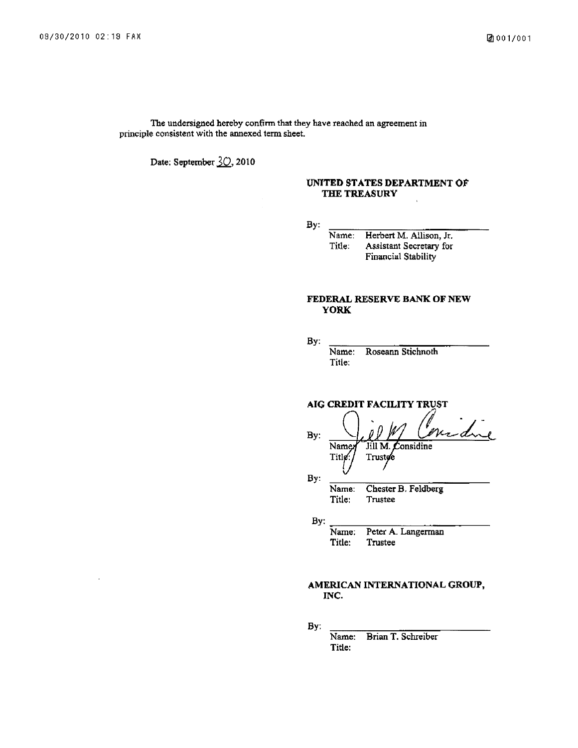The undersigned hereby confirm that they have reached an agreement in principle consistent with the annexed term sheet.

Date: September 30, 2010

## UNITED STATES DEPARTMENT OF THE TREASURY

 $By:$ 

Herbert M. Allison, Jr. Name: Title: Assistant Secretary for Financial Stability

## FEDERAL RESERVE BANK OF NEW **YORK**

By:

Roseann Stichnoth Name: Title:

AIG CREDIT FACILITY TRUST

due By: Name Jill M onsidine **Title** Trustee By:

Chester B. Feldberg Name: Title: Trustee

By:

Name: Peter A. Langerman Title: Trustee

## AMERICAN INTERNATIONAL GROUP, INC.

By:

Brian T. Schreiber Name: Title: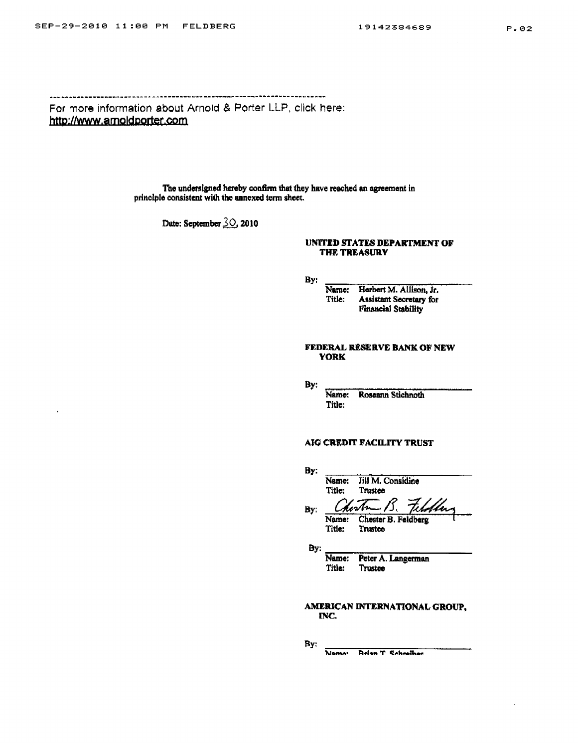$\overline{a}$ 

For more information about Arnold & Porter LLP, click here: http://www.arnoldporter.com

> The undersigned hereby confirm that they have reached an agreement in principle consistent with the annexed term sheet.

> > Date: September 30, 2010

#### UNITED STATES DEPARTMENT OF THE TREASURY

By:

Name: Herbert M. Allison, Jr.<br>Title: Assistant Secretary for **Financial Stability** 

#### FEDERAL RESERVE BANK OF NEW **YORK**

By:

Name: Roseann Stichnoth Title:

## AIG CREDIT FACILITY TRUST

| By: |        |                        |
|-----|--------|------------------------|
|     | Name:  | Jill M. Considine      |
|     | Title: | Trustee                |
| By: |        | teloller<br>Chostn 15. |
|     | Name:  | Chester B. Feldberg    |

Title: Trustee

By:

Name: Peter A. Langerman Title: Trustee

AMERICAN INTERNATIONAL GROUP, INC.

By:

Nome: Reign T Cohesther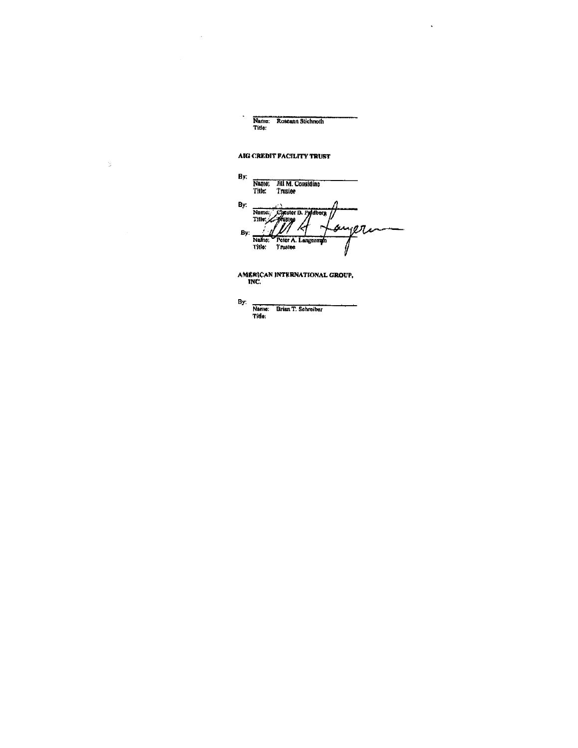Name: Roseann Stichnoth<br>Title:

 $\mathbf{r}$ 

# AIG CREDIT FACILITY TRUST

 $\ddot{\phantom{a}}$ 

 $\bar{\omega}$ 

By: Name; Fill M. Considine<br>Title: Trusiee By: Name: Cycster B. Pydberg<br>Title: Hustey ongri R J, By: Name: Peter A. Langermy

AMERICAN INTERNATIONAL GROUP,<br>INC.

By: Name: Brian T. Schreiber<br>Title: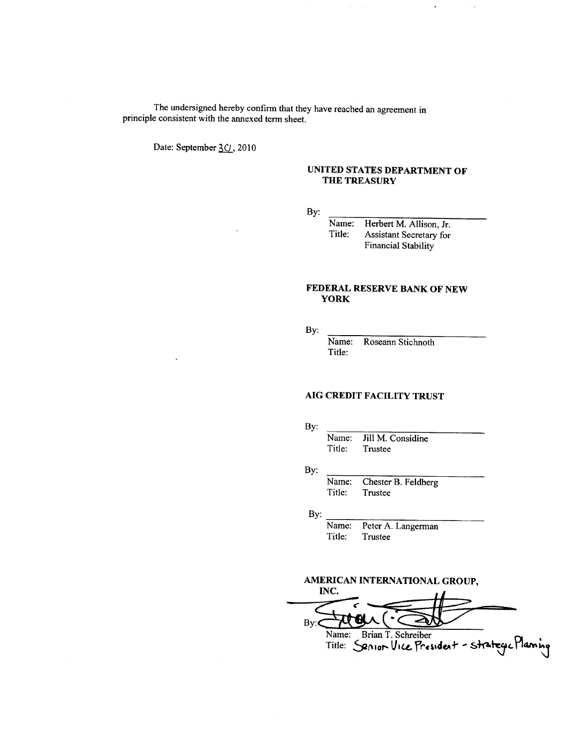The undersigned hereby confirm that they have reached an agreement in principle consistent with the annexed term sheet.

Date: September 30, 2010

## UNITED STATES DEPARTMENT OF THE TREASURY

 $\hat{\mathbf{r}}$ 

 $\cdot$ 

By:

Name: Herbert M. Allison, Jr. Title: Assistant Secretary for **Financial Stability** 

## FEDERAL RESERVE BANK OF NEW **YORK**

By:

Name: Roseann Stichnoth Title:

## AIG CREDIT FACILITY TRUST

By:

Jill M. Considine Name: Title: Trustee

By:

Name: Chester B. Feldberg Title: Trustee

By:

Peter A. Langerman Name: Title: Trustee

# AMERICAN INTERNATIONAL GROUP,

INC.  $By:$ Name: Brian T. Schreiber<br>Title: Senior Vice President - strategic Planning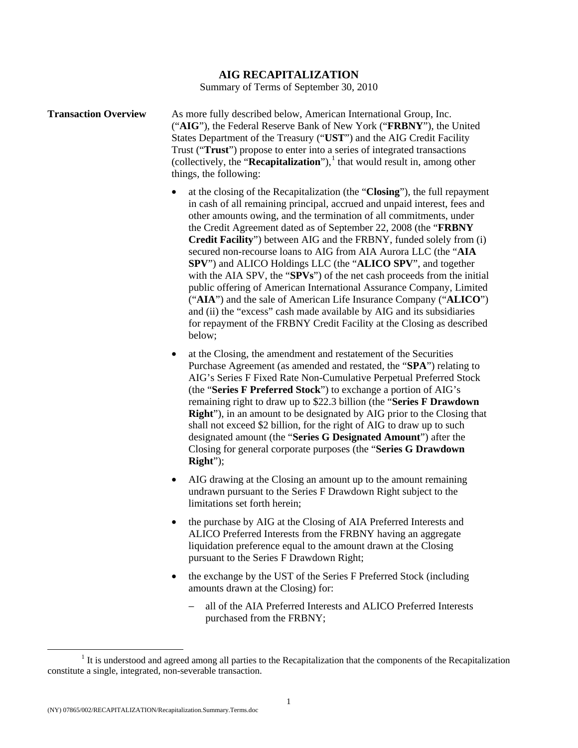# **AIG RECAPITALIZATION**

Summary of Terms of September 30, 2010

| <b>Transaction Overview</b> | As more fully described below, American International Group, Inc.<br>("AIG"), the Federal Reserve Bank of New York ("FRBNY"), the United<br>States Department of the Treasury ("UST") and the AIG Credit Facility<br>Trust ("Trust") propose to enter into a series of integrated transactions<br>(collectively, the " <b>Recapitalization</b> "), <sup>1</sup> that would result in, among other<br>things, the following:                                                                                                                                                                                                                                                                                                                                |
|-----------------------------|------------------------------------------------------------------------------------------------------------------------------------------------------------------------------------------------------------------------------------------------------------------------------------------------------------------------------------------------------------------------------------------------------------------------------------------------------------------------------------------------------------------------------------------------------------------------------------------------------------------------------------------------------------------------------------------------------------------------------------------------------------|
|                             | at the closing of the Recapitalization (the "Closing"), the full repayment<br>in cash of all remaining principal, accrued and unpaid interest, fees and<br>other amounts owing, and the termination of all commitments, under<br>the Credit Agreement dated as of September 22, 2008 (the "FRBNY<br><b>Credit Facility</b> ") between AIG and the FRBNY, funded solely from (i)<br>secured non-recourse loans to AIG from AIA Aurora LLC (the "AIA<br><b>SPV</b> ") and ALICO Holdings LLC (the " <b>ALICO SPV</b> ", and together<br>with the AIA SPV, the "SPVs") of the net cash proceeds from the initial<br>public offering of American International Assurance Company, Limited<br>("AIA") and the sale of American Life Insurance Company ("ALICO") |

and (ii) the "excess" cash made available by AIG and its subsidiaries for repayment of the FRBNY Credit Facility at the Closing as described below;

- at the Closing, the amendment and restatement of the Securities Purchase Agreement (as amended and restated, the "**SPA**") relating to AIG's Series F Fixed Rate Non-Cumulative Perpetual Preferred Stock (the "**Series F Preferred Stock**") to exchange a portion of AIG's remaining right to draw up to \$22.3 billion (the "**Series F Drawdown Right**"), in an amount to be designated by AIG prior to the Closing that shall not exceed \$2 billion, for the right of AIG to draw up to such designated amount (the "**Series G Designated Amount**") after the Closing for general corporate purposes (the "**Series G Drawdown Right**");
- AIG drawing at the Closing an amount up to the amount remaining undrawn pursuant to the Series F Drawdown Right subject to the limitations set forth herein;
- the purchase by AIG at the Closing of AIA Preferred Interests and ALICO Preferred Interests from the FRBNY having an aggregate liquidation preference equal to the amount drawn at the Closing pursuant to the Series F Drawdown Right;
- the exchange by the UST of the Series F Preferred Stock (including amounts drawn at the Closing) for:
	- all of the AIA Preferred Interests and ALICO Preferred Interests purchased from the FRBNY;

<span id="page-6-0"></span> $\frac{1}{1}$  $<sup>1</sup>$  It is understood and agreed among all parties to the Recapitalization that the components of the Recapitalization</sup> constitute a single, integrated, non-severable transaction.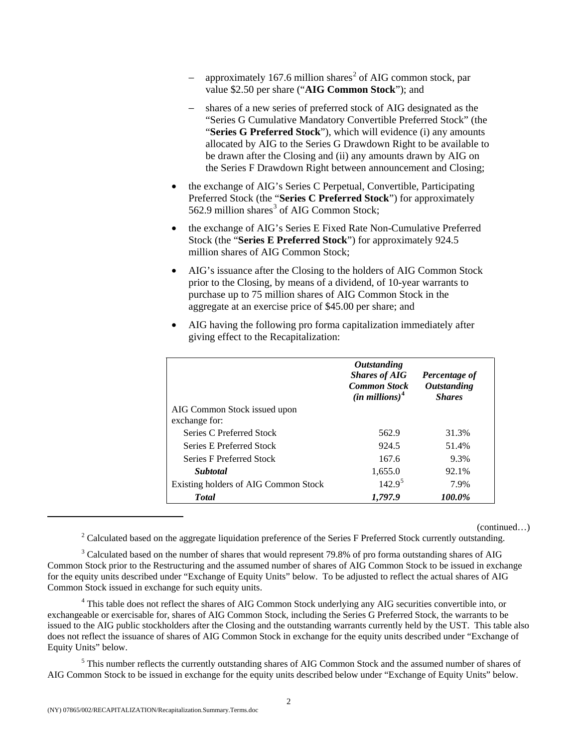- − approximately 167.6 million shares<sup>[2](#page-7-0)</sup> of AIG common stock, par value \$2.50 per share ("**AIG Common Stock**"); and
- − shares of a new series of preferred stock of AIG designated as the "Series G Cumulative Mandatory Convertible Preferred Stock" (the "**Series G Preferred Stock**"), which will evidence (i) any amounts allocated by AIG to the Series G Drawdown Right to be available to be drawn after the Closing and (ii) any amounts drawn by AIG on the Series F Drawdown Right between announcement and Closing;
- the exchange of AIG's Series C Perpetual, Convertible, Participating Preferred Stock (the "**Series C Preferred Stock**") for approximately 562.9 million shares<sup>[3](#page-7-1)</sup> of AIG Common Stock;
- the exchange of AIG's Series E Fixed Rate Non-Cumulative Preferred Stock (the "**Series E Preferred Stock**") for approximately 924.5 million shares of AIG Common Stock;
- AIG's issuance after the Closing to the holders of AIG Common Stock prior to the Closing, by means of a dividend, of 10-year warrants to purchase up to 75 million shares of AIG Common Stock in the aggregate at an exercise price of \$45.00 per share; and

|                                      | <i><b>Outstanding</b></i><br><b>Shares of AIG</b><br><b>Common Stock</b><br>$(in\,millions)^4$ | Percentage of<br><b>Outstanding</b><br><b>Shares</b> |
|--------------------------------------|------------------------------------------------------------------------------------------------|------------------------------------------------------|
| AIG Common Stock issued upon         |                                                                                                |                                                      |
| exchange for:                        |                                                                                                |                                                      |
| Series C Preferred Stock             | 562.9                                                                                          | 31.3%                                                |
| Series E Preferred Stock             | 924.5                                                                                          | 51.4%                                                |
| <b>Series F Preferred Stock</b>      | 167.6                                                                                          | 9.3%                                                 |
| <b>Subtotal</b>                      | 1,655.0                                                                                        | 92.1%                                                |
| Existing holders of AIG Common Stock | 142.9 <sup>5</sup>                                                                             | 7.9%                                                 |
| <b>T</b> otal                        | 1.797.9                                                                                        | 100.0%                                               |

• AIG having the following pro forma capitalization immediately after giving effect to the Recapitalization:

(continued…) 2 Calculated based on the aggregate liquidation preference of the Series F Preferred Stock currently outstanding.

<span id="page-7-1"></span><span id="page-7-0"></span><sup>3</sup> Calculated based on the number of shares that would represent 79.8% of pro forma outstanding shares of AIG Common Stock prior to the Restructuring and the assumed number of shares of AIG Common Stock to be issued in exchange for the equity units described under "Exchange of Equity Units" below. To be adjusted to reflect the actual shares of AIG Common Stock issued in exchange for such equity units.

<span id="page-7-2"></span><sup>4</sup> This table does not reflect the shares of AIG Common Stock underlying any AIG securities convertible into, or exchangeable or exercisable for, shares of AIG Common Stock, including the Series G Preferred Stock, the warrants to be issued to the AIG public stockholders after the Closing and the outstanding warrants currently held by the UST. This table also does not reflect the issuance of shares of AIG Common Stock in exchange for the equity units described under "Exchange of Equity Units" below.

<span id="page-7-3"></span><sup>5</sup> This number reflects the currently outstanding shares of AIG Common Stock and the assumed number of shares of AIG Common Stock to be issued in exchange for the equity units described below under "Exchange of Equity Units" below.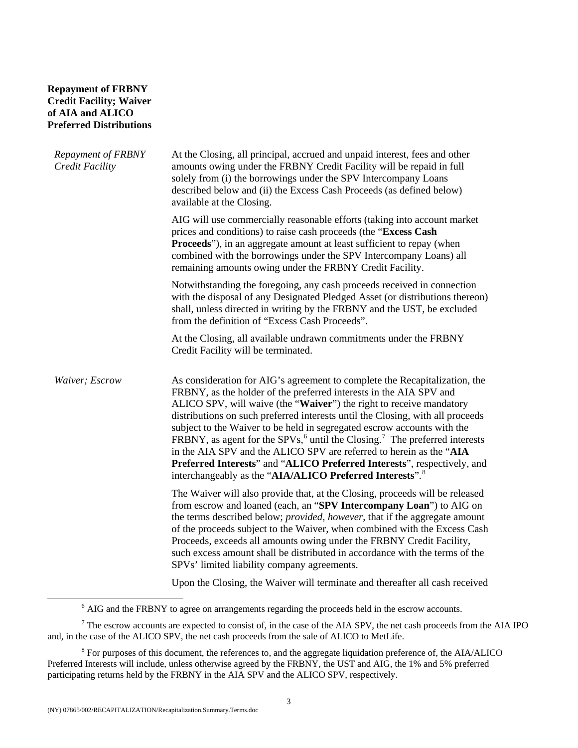# **Repayment of FRBNY Credit Facility; Waiver of AIA and ALICO Preferred Distributions**

| <b>Repayment of FRBNY</b><br>Credit Facility | At the Closing, all principal, accrued and unpaid interest, fees and other<br>amounts owing under the FRBNY Credit Facility will be repaid in full<br>solely from (i) the borrowings under the SPV Intercompany Loans<br>described below and (ii) the Excess Cash Proceeds (as defined below)<br>available at the Closing.                                                                                                                                                                                                                                                                                                                                                                                  |
|----------------------------------------------|-------------------------------------------------------------------------------------------------------------------------------------------------------------------------------------------------------------------------------------------------------------------------------------------------------------------------------------------------------------------------------------------------------------------------------------------------------------------------------------------------------------------------------------------------------------------------------------------------------------------------------------------------------------------------------------------------------------|
|                                              | AIG will use commercially reasonable efforts (taking into account market<br>prices and conditions) to raise cash proceeds (the "Excess Cash<br><b>Proceeds</b> "), in an aggregate amount at least sufficient to repay (when<br>combined with the borrowings under the SPV Intercompany Loans) all<br>remaining amounts owing under the FRBNY Credit Facility.                                                                                                                                                                                                                                                                                                                                              |
|                                              | Notwithstanding the foregoing, any cash proceeds received in connection<br>with the disposal of any Designated Pledged Asset (or distributions thereon)<br>shall, unless directed in writing by the FRBNY and the UST, be excluded<br>from the definition of "Excess Cash Proceeds".                                                                                                                                                                                                                                                                                                                                                                                                                        |
|                                              | At the Closing, all available undrawn commitments under the FRBNY<br>Credit Facility will be terminated.                                                                                                                                                                                                                                                                                                                                                                                                                                                                                                                                                                                                    |
| Waiver; Escrow                               | As consideration for AIG's agreement to complete the Recapitalization, the<br>FRBNY, as the holder of the preferred interests in the AIA SPV and<br>ALICO SPV, will waive (the "Waiver") the right to receive mandatory<br>distributions on such preferred interests until the Closing, with all proceeds<br>subject to the Waiver to be held in segregated escrow accounts with the<br>FRBNY, as agent for the SPVs, $6$ until the Closing. <sup>7</sup> The preferred interests<br>in the AIA SPV and the ALICO SPV are referred to herein as the "AIA<br>Preferred Interests" and "ALICO Preferred Interests", respectively, and<br>interchangeably as the "AIA/ALICO Preferred Interests". <sup>8</sup> |
|                                              | The Waiver will also provide that, at the Closing, proceeds will be released<br>from escrow and loaned (each, an "SPV Intercompany Loan") to AIG on<br>the terms described below; <i>provided, however</i> , that if the aggregate amount<br>of the proceeds subject to the Waiver, when combined with the Excess Cash<br>Proceeds, exceeds all amounts owing under the FRBNY Credit Facility,<br>such excess amount shall be distributed in accordance with the terms of the<br>SPVs' limited liability company agreements.                                                                                                                                                                                |
|                                              | Upon the Closing, the Waiver will terminate and thereafter all cash received                                                                                                                                                                                                                                                                                                                                                                                                                                                                                                                                                                                                                                |

 <sup>6</sup> <sup>6</sup> AIG and the FRBNY to agree on arrangements regarding the proceeds held in the escrow accounts.

<span id="page-8-1"></span><span id="page-8-0"></span> $<sup>7</sup>$  The escrow accounts are expected to consist of, in the case of the AIA SPV, the net cash proceeds from the AIA IPO</sup> and, in the case of the ALICO SPV, the net cash proceeds from the sale of ALICO to MetLife.

<span id="page-8-2"></span> $8$  For purposes of this document, the references to, and the aggregate liquidation preference of, the AIA/ALICO Preferred Interests will include, unless otherwise agreed by the FRBNY, the UST and AIG, the 1% and 5% preferred participating returns held by the FRBNY in the AIA SPV and the ALICO SPV, respectively.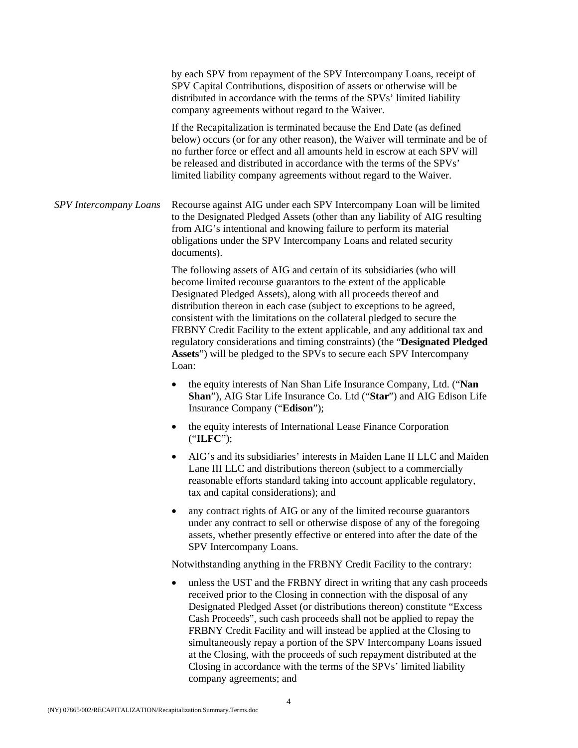|                               | by each SPV from repayment of the SPV Intercompany Loans, receipt of<br>SPV Capital Contributions, disposition of assets or otherwise will be<br>distributed in accordance with the terms of the SPVs' limited liability<br>company agreements without regard to the Waiver.                                                                                                                                                                                                                                                                                                                                                           |
|-------------------------------|----------------------------------------------------------------------------------------------------------------------------------------------------------------------------------------------------------------------------------------------------------------------------------------------------------------------------------------------------------------------------------------------------------------------------------------------------------------------------------------------------------------------------------------------------------------------------------------------------------------------------------------|
|                               | If the Recapitalization is terminated because the End Date (as defined<br>below) occurs (or for any other reason), the Waiver will terminate and be of<br>no further force or effect and all amounts held in escrow at each SPV will<br>be released and distributed in accordance with the terms of the SPVs'<br>limited liability company agreements without regard to the Waiver.                                                                                                                                                                                                                                                    |
| <b>SPV</b> Intercompany Loans | Recourse against AIG under each SPV Intercompany Loan will be limited<br>to the Designated Pledged Assets (other than any liability of AIG resulting<br>from AIG's intentional and knowing failure to perform its material<br>obligations under the SPV Intercompany Loans and related security<br>documents).                                                                                                                                                                                                                                                                                                                         |
|                               | The following assets of AIG and certain of its subsidiaries (who will<br>become limited recourse guarantors to the extent of the applicable<br>Designated Pledged Assets), along with all proceeds thereof and<br>distribution thereon in each case (subject to exceptions to be agreed,<br>consistent with the limitations on the collateral pledged to secure the<br>FRBNY Credit Facility to the extent applicable, and any additional tax and<br>regulatory considerations and timing constraints) (the "Designated Pledged<br>Assets") will be pledged to the SPVs to secure each SPV Intercompany<br>Loan:                       |
|                               | the equity interests of Nan Shan Life Insurance Company, Ltd. ("Nan<br>$\bullet$<br>Shan"), AIG Star Life Insurance Co. Ltd ("Star") and AIG Edison Life<br>Insurance Company ("Edison");                                                                                                                                                                                                                                                                                                                                                                                                                                              |
|                               | the equity interests of International Lease Finance Corporation<br>٠<br>("ILFC");                                                                                                                                                                                                                                                                                                                                                                                                                                                                                                                                                      |
|                               | AIG's and its subsidiaries' interests in Maiden Lane II LLC and Maiden<br>٠<br>Lane III LLC and distributions thereon (subject to a commercially<br>reasonable efforts standard taking into account applicable regulatory,<br>tax and capital considerations); and                                                                                                                                                                                                                                                                                                                                                                     |
|                               | any contract rights of AIG or any of the limited recourse guarantors<br>under any contract to sell or otherwise dispose of any of the foregoing<br>assets, whether presently effective or entered into after the date of the<br>SPV Intercompany Loans.                                                                                                                                                                                                                                                                                                                                                                                |
|                               | Notwithstanding anything in the FRBNY Credit Facility to the contrary:                                                                                                                                                                                                                                                                                                                                                                                                                                                                                                                                                                 |
|                               | unless the UST and the FRBNY direct in writing that any cash proceeds<br>$\bullet$<br>received prior to the Closing in connection with the disposal of any<br>Designated Pledged Asset (or distributions thereon) constitute "Excess<br>Cash Proceeds", such cash proceeds shall not be applied to repay the<br>FRBNY Credit Facility and will instead be applied at the Closing to<br>simultaneously repay a portion of the SPV Intercompany Loans issued<br>at the Closing, with the proceeds of such repayment distributed at the<br>Closing in accordance with the terms of the SPVs' limited liability<br>company agreements; and |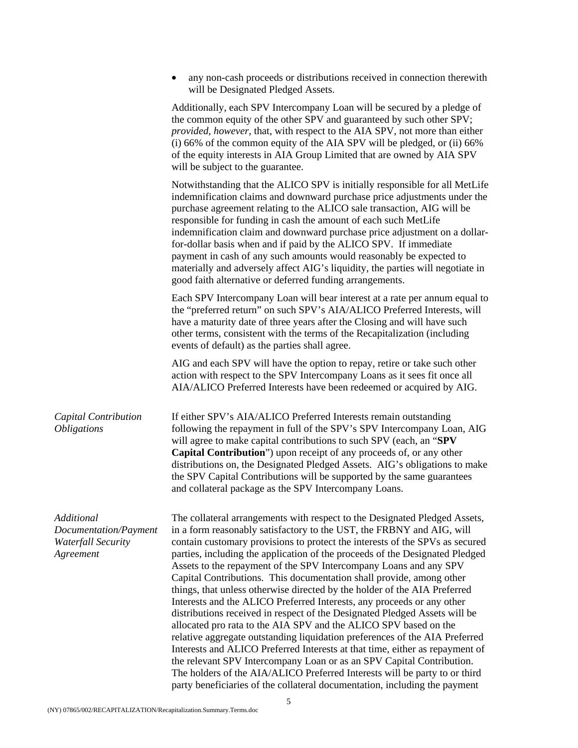|                                                                               | any non-cash proceeds or distributions received in connection therewith<br>will be Designated Pledged Assets.                                                                                                                                                                                                                                                                                                                                                                                                                                                                                                                                                                                                                                                                                                                                                                                                                                                                                                                                                                                                                                                                 |
|-------------------------------------------------------------------------------|-------------------------------------------------------------------------------------------------------------------------------------------------------------------------------------------------------------------------------------------------------------------------------------------------------------------------------------------------------------------------------------------------------------------------------------------------------------------------------------------------------------------------------------------------------------------------------------------------------------------------------------------------------------------------------------------------------------------------------------------------------------------------------------------------------------------------------------------------------------------------------------------------------------------------------------------------------------------------------------------------------------------------------------------------------------------------------------------------------------------------------------------------------------------------------|
|                                                                               | Additionally, each SPV Intercompany Loan will be secured by a pledge of<br>the common equity of the other SPV and guaranteed by such other SPV;<br>provided, however, that, with respect to the AIA SPV, not more than either<br>(i) 66% of the common equity of the AIA SPV will be pledged, or (ii) 66%<br>of the equity interests in AIA Group Limited that are owned by AIA SPV<br>will be subject to the guarantee.                                                                                                                                                                                                                                                                                                                                                                                                                                                                                                                                                                                                                                                                                                                                                      |
|                                                                               | Notwithstanding that the ALICO SPV is initially responsible for all MetLife<br>indemnification claims and downward purchase price adjustments under the<br>purchase agreement relating to the ALICO sale transaction, AIG will be<br>responsible for funding in cash the amount of each such MetLife<br>indemnification claim and downward purchase price adjustment on a dollar-<br>for-dollar basis when and if paid by the ALICO SPV. If immediate<br>payment in cash of any such amounts would reasonably be expected to<br>materially and adversely affect AIG's liquidity, the parties will negotiate in<br>good faith alternative or deferred funding arrangements.                                                                                                                                                                                                                                                                                                                                                                                                                                                                                                    |
|                                                                               | Each SPV Intercompany Loan will bear interest at a rate per annum equal to<br>the "preferred return" on such SPV's AIA/ALICO Preferred Interests, will<br>have a maturity date of three years after the Closing and will have such<br>other terms, consistent with the terms of the Recapitalization (including<br>events of default) as the parties shall agree.                                                                                                                                                                                                                                                                                                                                                                                                                                                                                                                                                                                                                                                                                                                                                                                                             |
|                                                                               | AIG and each SPV will have the option to repay, retire or take such other<br>action with respect to the SPV Intercompany Loans as it sees fit once all<br>AIA/ALICO Preferred Interests have been redeemed or acquired by AIG.                                                                                                                                                                                                                                                                                                                                                                                                                                                                                                                                                                                                                                                                                                                                                                                                                                                                                                                                                |
| Capital Contribution<br><i><b>Obligations</b></i>                             | If either SPV's AIA/ALICO Preferred Interests remain outstanding<br>following the repayment in full of the SPV's SPV Intercompany Loan, AIG<br>will agree to make capital contributions to such SPV (each, an "SPV<br>Capital Contribution") upon receipt of any proceeds of, or any other<br>distributions on, the Designated Pledged Assets. AIG's obligations to make<br>the SPV Capital Contributions will be supported by the same guarantees<br>and collateral package as the SPV Intercompany Loans.                                                                                                                                                                                                                                                                                                                                                                                                                                                                                                                                                                                                                                                                   |
| Additional<br>Documentation/Payment<br><b>Waterfall Security</b><br>Agreement | The collateral arrangements with respect to the Designated Pledged Assets,<br>in a form reasonably satisfactory to the UST, the FRBNY and AIG, will<br>contain customary provisions to protect the interests of the SPVs as secured<br>parties, including the application of the proceeds of the Designated Pledged<br>Assets to the repayment of the SPV Intercompany Loans and any SPV<br>Capital Contributions. This documentation shall provide, among other<br>things, that unless otherwise directed by the holder of the AIA Preferred<br>Interests and the ALICO Preferred Interests, any proceeds or any other<br>distributions received in respect of the Designated Pledged Assets will be<br>allocated pro rata to the AIA SPV and the ALICO SPV based on the<br>relative aggregate outstanding liquidation preferences of the AIA Preferred<br>Interests and ALICO Preferred Interests at that time, either as repayment of<br>the relevant SPV Intercompany Loan or as an SPV Capital Contribution.<br>The holders of the AIA/ALICO Preferred Interests will be party to or third<br>party beneficiaries of the collateral documentation, including the payment |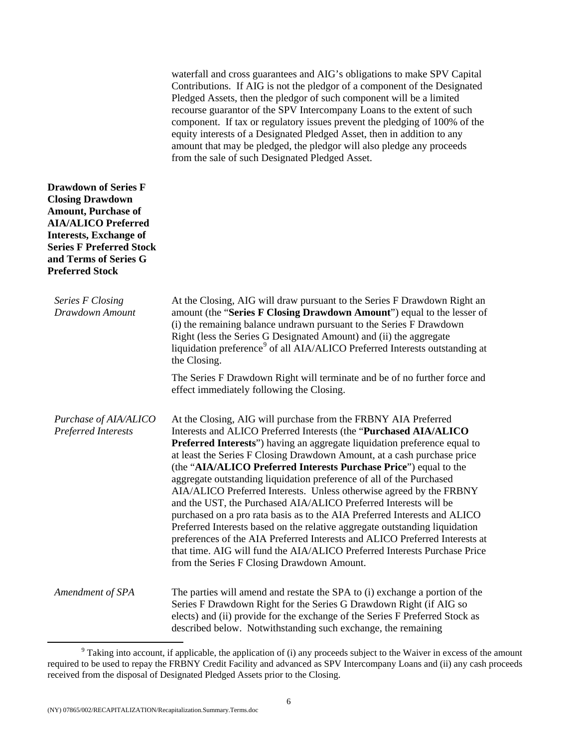waterfall and cross guarantees and AIG's obligations to make SPV Capital Contributions. If AIG is not the pledgor of a component of the Designated Pledged Assets, then the pledgor of such component will be a limited recourse guarantor of the SPV Intercompany Loans to the extent of such component. If tax or regulatory issues prevent the pledging of 100% of the equity interests of a Designated Pledged Asset, then in addition to any amount that may be pledged, the pledgor will also pledge any proceeds from the sale of such Designated Pledged Asset.

| <b>Drawdown of Series F</b><br><b>Closing Drawdown</b><br><b>Amount, Purchase of</b><br><b>AIA/ALICO Preferred</b><br><b>Interests, Exchange of</b><br><b>Series F Preferred Stock</b><br>and Terms of Series G<br><b>Preferred Stock</b> |                                                                                                                                                                                                                                                                                                                                                                                                                                                                                                                                                                                                                                                                                                                                                                                                                                                                                                                                                           |
|-------------------------------------------------------------------------------------------------------------------------------------------------------------------------------------------------------------------------------------------|-----------------------------------------------------------------------------------------------------------------------------------------------------------------------------------------------------------------------------------------------------------------------------------------------------------------------------------------------------------------------------------------------------------------------------------------------------------------------------------------------------------------------------------------------------------------------------------------------------------------------------------------------------------------------------------------------------------------------------------------------------------------------------------------------------------------------------------------------------------------------------------------------------------------------------------------------------------|
| Series F Closing<br>Drawdown Amount                                                                                                                                                                                                       | At the Closing, AIG will draw pursuant to the Series F Drawdown Right an<br>amount (the "Series F Closing Drawdown Amount") equal to the lesser of<br>(i) the remaining balance undrawn pursuant to the Series F Drawdown<br>Right (less the Series G Designated Amount) and (ii) the aggregate<br>liquidation preference <sup>9</sup> of all AIA/ALICO Preferred Interests outstanding at<br>the Closing.                                                                                                                                                                                                                                                                                                                                                                                                                                                                                                                                                |
|                                                                                                                                                                                                                                           | The Series F Drawdown Right will terminate and be of no further force and<br>effect immediately following the Closing.                                                                                                                                                                                                                                                                                                                                                                                                                                                                                                                                                                                                                                                                                                                                                                                                                                    |
| Purchase of AIA/ALICO<br>Preferred Interests                                                                                                                                                                                              | At the Closing, AIG will purchase from the FRBNY AIA Preferred<br>Interests and ALICO Preferred Interests (the "Purchased AIA/ALICO<br>Preferred Interests") having an aggregate liquidation preference equal to<br>at least the Series F Closing Drawdown Amount, at a cash purchase price<br>(the "AIA/ALICO Preferred Interests Purchase Price") equal to the<br>aggregate outstanding liquidation preference of all of the Purchased<br>AIA/ALICO Preferred Interests. Unless otherwise agreed by the FRBNY<br>and the UST, the Purchased AIA/ALICO Preferred Interests will be<br>purchased on a pro rata basis as to the AIA Preferred Interests and ALICO<br>Preferred Interests based on the relative aggregate outstanding liquidation<br>preferences of the AIA Preferred Interests and ALICO Preferred Interests at<br>that time. AIG will fund the AIA/ALICO Preferred Interests Purchase Price<br>from the Series F Closing Drawdown Amount. |
| Amendment of SPA                                                                                                                                                                                                                          | The parties will amend and restate the SPA to (i) exchange a portion of the<br>Series F Drawdown Right for the Series G Drawdown Right (if AIG so<br>elects) and (ii) provide for the exchange of the Series F Preferred Stock as<br>described below. Notwithstanding such exchange, the remaining                                                                                                                                                                                                                                                                                                                                                                                                                                                                                                                                                                                                                                                        |

<span id="page-11-0"></span> $\frac{1}{9}$  $9$  Taking into account, if applicable, the application of (i) any proceeds subject to the Waiver in excess of the amount required to be used to repay the FRBNY Credit Facility and advanced as SPV Intercompany Loans and (ii) any cash proceeds received from the disposal of Designated Pledged Assets prior to the Closing.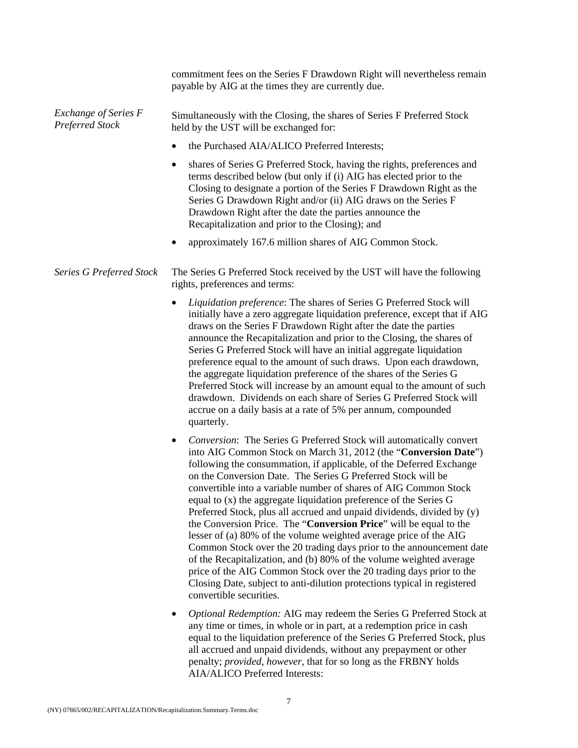|                                         | commitment fees on the Series F Drawdown Right will nevertheless remain<br>payable by AIG at the times they are currently due.                                                                                                                                                                                                                                                                                                                                                                                                                                                                                                                                                                                                                                                                                                                                                                                                                                               |
|-----------------------------------------|------------------------------------------------------------------------------------------------------------------------------------------------------------------------------------------------------------------------------------------------------------------------------------------------------------------------------------------------------------------------------------------------------------------------------------------------------------------------------------------------------------------------------------------------------------------------------------------------------------------------------------------------------------------------------------------------------------------------------------------------------------------------------------------------------------------------------------------------------------------------------------------------------------------------------------------------------------------------------|
| Exchange of Series F<br>Preferred Stock | Simultaneously with the Closing, the shares of Series F Preferred Stock<br>held by the UST will be exchanged for:                                                                                                                                                                                                                                                                                                                                                                                                                                                                                                                                                                                                                                                                                                                                                                                                                                                            |
|                                         | the Purchased AIA/ALICO Preferred Interests;<br>$\bullet$                                                                                                                                                                                                                                                                                                                                                                                                                                                                                                                                                                                                                                                                                                                                                                                                                                                                                                                    |
|                                         | shares of Series G Preferred Stock, having the rights, preferences and<br>٠<br>terms described below (but only if (i) AIG has elected prior to the<br>Closing to designate a portion of the Series F Drawdown Right as the<br>Series G Drawdown Right and/or (ii) AIG draws on the Series F<br>Drawdown Right after the date the parties announce the<br>Recapitalization and prior to the Closing); and                                                                                                                                                                                                                                                                                                                                                                                                                                                                                                                                                                     |
|                                         | approximately 167.6 million shares of AIG Common Stock.                                                                                                                                                                                                                                                                                                                                                                                                                                                                                                                                                                                                                                                                                                                                                                                                                                                                                                                      |
| <b>Series G Preferred Stock</b>         | The Series G Preferred Stock received by the UST will have the following<br>rights, preferences and terms:                                                                                                                                                                                                                                                                                                                                                                                                                                                                                                                                                                                                                                                                                                                                                                                                                                                                   |
|                                         | Liquidation preference: The shares of Series G Preferred Stock will<br>$\bullet$<br>initially have a zero aggregate liquidation preference, except that if AIG<br>draws on the Series F Drawdown Right after the date the parties<br>announce the Recapitalization and prior to the Closing, the shares of<br>Series G Preferred Stock will have an initial aggregate liquidation<br>preference equal to the amount of such draws. Upon each drawdown,<br>the aggregate liquidation preference of the shares of the Series G<br>Preferred Stock will increase by an amount equal to the amount of such<br>drawdown. Dividends on each share of Series G Preferred Stock will<br>accrue on a daily basis at a rate of 5% per annum, compounded<br>quarterly.                                                                                                                                                                                                                  |
|                                         | Conversion: The Series G Preferred Stock will automatically convert<br>٠<br>into AIG Common Stock on March 31, 2012 (the "Conversion Date")<br>following the consummation, if applicable, of the Deferred Exchange<br>on the Conversion Date. The Series G Preferred Stock will be<br>convertible into a variable number of shares of AIG Common Stock<br>equal to (x) the aggregate liquidation preference of the Series G<br>Preferred Stock, plus all accrued and unpaid dividends, divided by (y)<br>the Conversion Price. The "Conversion Price" will be equal to the<br>lesser of (a) 80% of the volume weighted average price of the AIG<br>Common Stock over the 20 trading days prior to the announcement date<br>of the Recapitalization, and (b) 80% of the volume weighted average<br>price of the AIG Common Stock over the 20 trading days prior to the<br>Closing Date, subject to anti-dilution protections typical in registered<br>convertible securities. |
|                                         | Optional Redemption: AIG may redeem the Series G Preferred Stock at<br>٠<br>any time or times, in whole or in part, at a redemption price in cash<br>equal to the liquidation preference of the Series G Preferred Stock, plus<br>all accrued and unpaid dividends, without any prepayment or other<br>penalty; provided, however, that for so long as the FRBNY holds                                                                                                                                                                                                                                                                                                                                                                                                                                                                                                                                                                                                       |

AIA/ALICO Preferred Interests: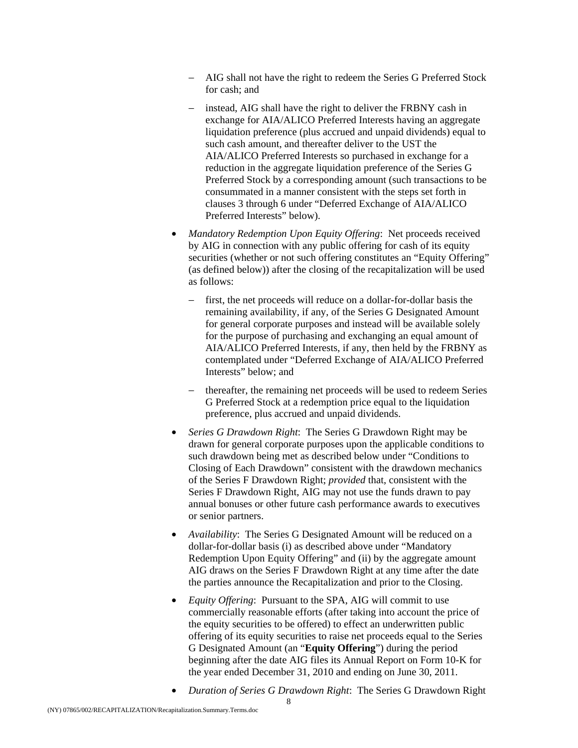- − AIG shall not have the right to redeem the Series G Preferred Stock for cash; and
- instead, AIG shall have the right to deliver the FRBNY cash in exchange for AIA/ALICO Preferred Interests having an aggregate liquidation preference (plus accrued and unpaid dividends) equal to such cash amount, and thereafter deliver to the UST the AIA/ALICO Preferred Interests so purchased in exchange for a reduction in the aggregate liquidation preference of the Series G Preferred Stock by a corresponding amount (such transactions to be consummated in a manner consistent with the steps set forth in clauses 3 through 6 under "Deferred Exchange of AIA/ALICO Preferred Interests" below).
- *Mandatory Redemption Upon Equity Offering*: Net proceeds received by AIG in connection with any public offering for cash of its equity securities (whether or not such offering constitutes an "Equity Offering" (as defined below)) after the closing of the recapitalization will be used as follows:
	- first, the net proceeds will reduce on a dollar-for-dollar basis the remaining availability, if any, of the Series G Designated Amount for general corporate purposes and instead will be available solely for the purpose of purchasing and exchanging an equal amount of AIA/ALICO Preferred Interests, if any, then held by the FRBNY as contemplated under "Deferred Exchange of AIA/ALICO Preferred Interests" below; and
	- thereafter, the remaining net proceeds will be used to redeem Series G Preferred Stock at a redemption price equal to the liquidation preference, plus accrued and unpaid dividends.
- *Series G Drawdown Right*: The Series G Drawdown Right may be drawn for general corporate purposes upon the applicable conditions to such drawdown being met as described below under "Conditions to Closing of Each Drawdown" consistent with the drawdown mechanics of the Series F Drawdown Right; *provided* that, consistent with the Series F Drawdown Right, AIG may not use the funds drawn to pay annual bonuses or other future cash performance awards to executives or senior partners.
- *Availability*: The Series G Designated Amount will be reduced on a dollar-for-dollar basis (i) as described above under "Mandatory Redemption Upon Equity Offering" and (ii) by the aggregate amount AIG draws on the Series F Drawdown Right at any time after the date the parties announce the Recapitalization and prior to the Closing.
- *Equity Offering*: Pursuant to the SPA, AIG will commit to use commercially reasonable efforts (after taking into account the price of the equity securities to be offered) to effect an underwritten public offering of its equity securities to raise net proceeds equal to the Series G Designated Amount (an "**Equity Offering**") during the period beginning after the date AIG files its Annual Report on Form 10-K for the year ended December 31, 2010 and ending on June 30, 2011.
- *Duration of Series G Drawdown Right*: The Series G Drawdown Right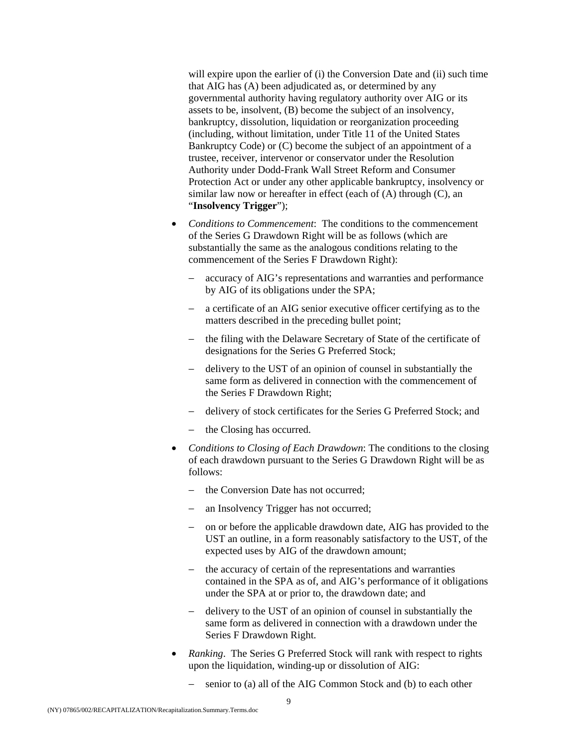will expire upon the earlier of (i) the Conversion Date and (ii) such time that AIG has (A) been adjudicated as, or determined by any governmental authority having regulatory authority over AIG or its assets to be, insolvent, (B) become the subject of an insolvency, bankruptcy, dissolution, liquidation or reorganization proceeding (including, without limitation, under Title 11 of the United States Bankruptcy Code) or (C) become the subject of an appointment of a trustee, receiver, intervenor or conservator under the Resolution Authority under Dodd-Frank Wall Street Reform and Consumer Protection Act or under any other applicable bankruptcy, insolvency or similar law now or hereafter in effect (each of (A) through (C), an "**Insolvency Trigger**");

- *Conditions to Commencement*: The conditions to the commencement of the Series G Drawdown Right will be as follows (which are substantially the same as the analogous conditions relating to the commencement of the Series F Drawdown Right):
	- accuracy of AIG's representations and warranties and performance by AIG of its obligations under the SPA;
	- − a certificate of an AIG senior executive officer certifying as to the matters described in the preceding bullet point;
	- the filing with the Delaware Secretary of State of the certificate of designations for the Series G Preferred Stock;
	- − delivery to the UST of an opinion of counsel in substantially the same form as delivered in connection with the commencement of the Series F Drawdown Right;
	- − delivery of stock certificates for the Series G Preferred Stock; and
	- the Closing has occurred.
- *Conditions to Closing of Each Drawdown*: The conditions to the closing of each drawdown pursuant to the Series G Drawdown Right will be as follows:
	- the Conversion Date has not occurred;
	- an Insolvency Trigger has not occurred;
	- − on or before the applicable drawdown date, AIG has provided to the UST an outline, in a form reasonably satisfactory to the UST, of the expected uses by AIG of the drawdown amount;
	- − the accuracy of certain of the representations and warranties contained in the SPA as of, and AIG's performance of it obligations under the SPA at or prior to, the drawdown date; and
	- − delivery to the UST of an opinion of counsel in substantially the same form as delivered in connection with a drawdown under the Series F Drawdown Right.
- *Ranking*. The Series G Preferred Stock will rank with respect to rights upon the liquidation, winding-up or dissolution of AIG:
	- − senior to (a) all of the AIG Common Stock and (b) to each other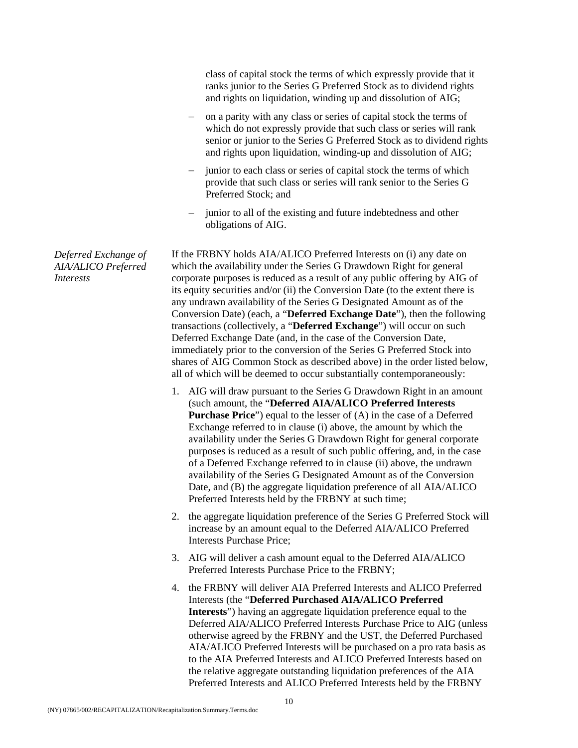class of capital stock the terms of which expressly provide that it ranks junior to the Series G Preferred Stock as to dividend rights and rights on liquidation, winding up and dissolution of AIG;

- − on a parity with any class or series of capital stock the terms of which do not expressly provide that such class or series will rank senior or junior to the Series G Preferred Stock as to dividend rights and rights upon liquidation, winding-up and dissolution of AIG;
- − junior to each class or series of capital stock the terms of which provide that such class or series will rank senior to the Series G Preferred Stock; and
- − junior to all of the existing and future indebtedness and other obligations of AIG.

If the FRBNY holds AIA/ALICO Preferred Interests on (i) any date on which the availability under the Series G Drawdown Right for general corporate purposes is reduced as a result of any public offering by AIG of its equity securities and/or (ii) the Conversion Date (to the extent there is any undrawn availability of the Series G Designated Amount as of the Conversion Date) (each, a "**Deferred Exchange Date**"), then the following transactions (collectively, a "**Deferred Exchange**") will occur on such Deferred Exchange Date (and, in the case of the Conversion Date, immediately prior to the conversion of the Series G Preferred Stock into shares of AIG Common Stock as described above) in the order listed below, all of which will be deemed to occur substantially contemporaneously:

- 1. AIG will draw pursuant to the Series G Drawdown Right in an amount (such amount, the "**Deferred AIA/ALICO Preferred Interests Purchase Price**") equal to the lesser of (A) in the case of a Deferred Exchange referred to in clause (i) above, the amount by which the availability under the Series G Drawdown Right for general corporate purposes is reduced as a result of such public offering, and, in the case of a Deferred Exchange referred to in clause (ii) above, the undrawn availability of the Series G Designated Amount as of the Conversion Date, and (B) the aggregate liquidation preference of all AIA/ALICO Preferred Interests held by the FRBNY at such time;
- 2. the aggregate liquidation preference of the Series G Preferred Stock will increase by an amount equal to the Deferred AIA/ALICO Preferred Interests Purchase Price;
- 3. AIG will deliver a cash amount equal to the Deferred AIA/ALICO Preferred Interests Purchase Price to the FRBNY;
- 4. the FRBNY will deliver AIA Preferred Interests and ALICO Preferred Interests (the "**Deferred Purchased AIA/ALICO Preferred Interests**") having an aggregate liquidation preference equal to the Deferred AIA/ALICO Preferred Interests Purchase Price to AIG (unless otherwise agreed by the FRBNY and the UST, the Deferred Purchased AIA/ALICO Preferred Interests will be purchased on a pro rata basis as to the AIA Preferred Interests and ALICO Preferred Interests based on the relative aggregate outstanding liquidation preferences of the AIA Preferred Interests and ALICO Preferred Interests held by the FRBNY

*Deferred Exchange of AIA/ALICO Preferred Interests*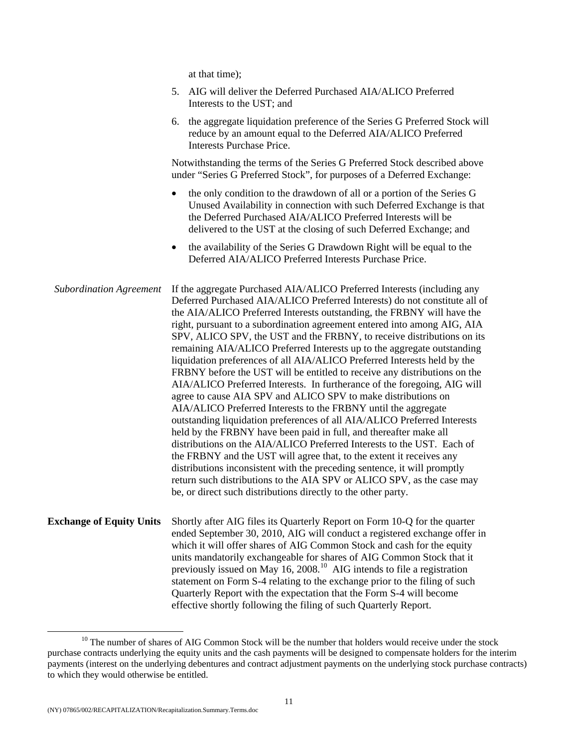at that time);

|                                 | 5. AIG will deliver the Deferred Purchased AIA/ALICO Preferred<br>Interests to the UST; and                                                                                                                                                                                                                                                                                                                                                                                                                                                                                                                                                                                                                                                                                                                                                                                                                                                                                                                                                                                                                                                                                                                                                                                                                                                                        |
|---------------------------------|--------------------------------------------------------------------------------------------------------------------------------------------------------------------------------------------------------------------------------------------------------------------------------------------------------------------------------------------------------------------------------------------------------------------------------------------------------------------------------------------------------------------------------------------------------------------------------------------------------------------------------------------------------------------------------------------------------------------------------------------------------------------------------------------------------------------------------------------------------------------------------------------------------------------------------------------------------------------------------------------------------------------------------------------------------------------------------------------------------------------------------------------------------------------------------------------------------------------------------------------------------------------------------------------------------------------------------------------------------------------|
|                                 | the aggregate liquidation preference of the Series G Preferred Stock will<br>6.<br>reduce by an amount equal to the Deferred AIA/ALICO Preferred<br><b>Interests Purchase Price.</b>                                                                                                                                                                                                                                                                                                                                                                                                                                                                                                                                                                                                                                                                                                                                                                                                                                                                                                                                                                                                                                                                                                                                                                               |
|                                 | Notwithstanding the terms of the Series G Preferred Stock described above<br>under "Series G Preferred Stock", for purposes of a Deferred Exchange:                                                                                                                                                                                                                                                                                                                                                                                                                                                                                                                                                                                                                                                                                                                                                                                                                                                                                                                                                                                                                                                                                                                                                                                                                |
|                                 | the only condition to the drawdown of all or a portion of the Series G<br>$\bullet$<br>Unused Availability in connection with such Deferred Exchange is that<br>the Deferred Purchased AIA/ALICO Preferred Interests will be<br>delivered to the UST at the closing of such Deferred Exchange; and                                                                                                                                                                                                                                                                                                                                                                                                                                                                                                                                                                                                                                                                                                                                                                                                                                                                                                                                                                                                                                                                 |
|                                 | the availability of the Series G Drawdown Right will be equal to the<br>٠<br>Deferred AIA/ALICO Preferred Interests Purchase Price.                                                                                                                                                                                                                                                                                                                                                                                                                                                                                                                                                                                                                                                                                                                                                                                                                                                                                                                                                                                                                                                                                                                                                                                                                                |
| <b>Subordination Agreement</b>  | If the aggregate Purchased AIA/ALICO Preferred Interests (including any<br>Deferred Purchased AIA/ALICO Preferred Interests) do not constitute all of<br>the AIA/ALICO Preferred Interests outstanding, the FRBNY will have the<br>right, pursuant to a subordination agreement entered into among AIG, AIA<br>SPV, ALICO SPV, the UST and the FRBNY, to receive distributions on its<br>remaining AIA/ALICO Preferred Interests up to the aggregate outstanding<br>liquidation preferences of all AIA/ALICO Preferred Interests held by the<br>FRBNY before the UST will be entitled to receive any distributions on the<br>AIA/ALICO Preferred Interests. In furtherance of the foregoing, AIG will<br>agree to cause AIA SPV and ALICO SPV to make distributions on<br>AIA/ALICO Preferred Interests to the FRBNY until the aggregate<br>outstanding liquidation preferences of all AIA/ALICO Preferred Interests<br>held by the FRBNY have been paid in full, and thereafter make all<br>distributions on the AIA/ALICO Preferred Interests to the UST. Each of<br>the FRBNY and the UST will agree that, to the extent it receives any<br>distributions inconsistent with the preceding sentence, it will promptly<br>return such distributions to the AIA SPV or ALICO SPV, as the case may<br>be, or direct such distributions directly to the other party. |
| <b>Exchange of Equity Units</b> | Shortly after AIG files its Quarterly Report on Form 10-Q for the quarter<br>ended September 30, 2010, AIG will conduct a registered exchange offer in<br>which it will offer shares of AIG Common Stock and cash for the equity<br>units mandatorily exchangeable for shares of AIG Common Stock that it<br>previously issued on May 16, 2008. <sup>10</sup> AIG intends to file a registration<br>statement on Form S-4 relating to the exchange prior to the filing of such<br>Quarterly Report with the expectation that the Form S-4 will become<br>effective shortly following the filing of such Quarterly Report.                                                                                                                                                                                                                                                                                                                                                                                                                                                                                                                                                                                                                                                                                                                                          |

<span id="page-16-0"></span><sup>&</sup>lt;sup>10</sup> The number of shares of AIG Common Stock will be the number that holders would receive under the stock purchase contracts underlying the equity units and the cash payments will be designed to compensate holders for the interim payments (interest on the underlying debentures and contract adjustment payments on the underlying stock purchase contracts) to which they would otherwise be entitled.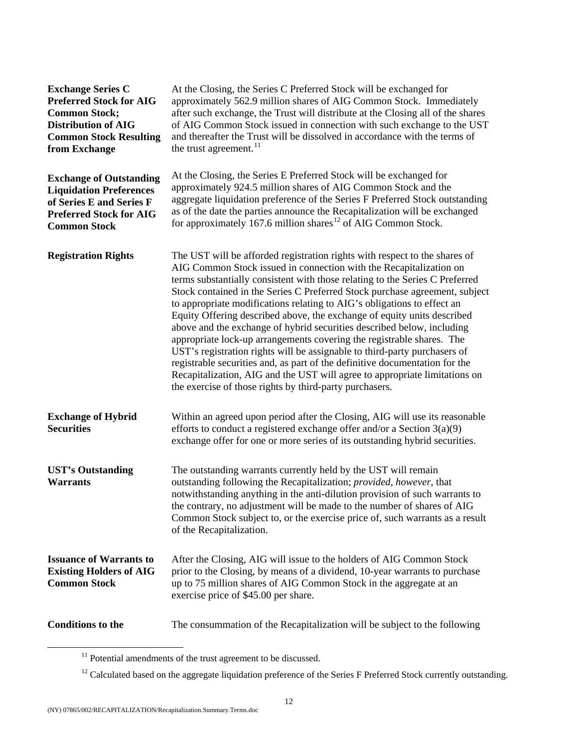| <b>Exchange Series C</b><br><b>Preferred Stock for AIG</b><br><b>Common Stock;</b><br><b>Distribution of AIG</b><br><b>Common Stock Resulting</b><br>from Exchange | At the Closing, the Series C Preferred Stock will be exchanged for<br>approximately 562.9 million shares of AIG Common Stock. Immediately<br>after such exchange, the Trust will distribute at the Closing all of the shares<br>of AIG Common Stock issued in connection with such exchange to the UST<br>and thereafter the Trust will be dissolved in accordance with the terms of<br>the trust agreement. <sup>11</sup>                                                                                                                                                                                                                                                                                                                                                                                                                                                                                                    |
|--------------------------------------------------------------------------------------------------------------------------------------------------------------------|-------------------------------------------------------------------------------------------------------------------------------------------------------------------------------------------------------------------------------------------------------------------------------------------------------------------------------------------------------------------------------------------------------------------------------------------------------------------------------------------------------------------------------------------------------------------------------------------------------------------------------------------------------------------------------------------------------------------------------------------------------------------------------------------------------------------------------------------------------------------------------------------------------------------------------|
| <b>Exchange of Outstanding</b><br><b>Liquidation Preferences</b><br>of Series E and Series F<br><b>Preferred Stock for AIG</b><br><b>Common Stock</b>              | At the Closing, the Series E Preferred Stock will be exchanged for<br>approximately 924.5 million shares of AIG Common Stock and the<br>aggregate liquidation preference of the Series F Preferred Stock outstanding<br>as of the date the parties announce the Recapitalization will be exchanged<br>for approximately 167.6 million shares <sup>12</sup> of AIG Common Stock.                                                                                                                                                                                                                                                                                                                                                                                                                                                                                                                                               |
| <b>Registration Rights</b>                                                                                                                                         | The UST will be afforded registration rights with respect to the shares of<br>AIG Common Stock issued in connection with the Recapitalization on<br>terms substantially consistent with those relating to the Series C Preferred<br>Stock contained in the Series C Preferred Stock purchase agreement, subject<br>to appropriate modifications relating to AIG's obligations to effect an<br>Equity Offering described above, the exchange of equity units described<br>above and the exchange of hybrid securities described below, including<br>appropriate lock-up arrangements covering the registrable shares. The<br>UST's registration rights will be assignable to third-party purchasers of<br>registrable securities and, as part of the definitive documentation for the<br>Recapitalization, AIG and the UST will agree to appropriate limitations on<br>the exercise of those rights by third-party purchasers. |
| <b>Exchange of Hybrid</b><br><b>Securities</b>                                                                                                                     | Within an agreed upon period after the Closing, AIG will use its reasonable<br>efforts to conduct a registered exchange offer and/or a Section $3(a)(9)$<br>exchange offer for one or more series of its outstanding hybrid securities.                                                                                                                                                                                                                                                                                                                                                                                                                                                                                                                                                                                                                                                                                       |
| <b>UST's Outstanding</b><br><b>Warrants</b>                                                                                                                        | The outstanding warrants currently held by the UST will remain<br>outstanding following the Recapitalization; provided, however, that<br>notwithstanding anything in the anti-dilution provision of such warrants to<br>the contrary, no adjustment will be made to the number of shares of AIG<br>Common Stock subject to, or the exercise price of, such warrants as a result<br>of the Recapitalization.                                                                                                                                                                                                                                                                                                                                                                                                                                                                                                                   |
| <b>Issuance of Warrants to</b><br><b>Existing Holders of AIG</b><br><b>Common Stock</b>                                                                            | After the Closing, AIG will issue to the holders of AIG Common Stock<br>prior to the Closing, by means of a dividend, 10-year warrants to purchase<br>up to 75 million shares of AIG Common Stock in the aggregate at an<br>exercise price of \$45.00 per share.                                                                                                                                                                                                                                                                                                                                                                                                                                                                                                                                                                                                                                                              |
| <b>Conditions to the</b>                                                                                                                                           | The consummation of the Recapitalization will be subject to the following                                                                                                                                                                                                                                                                                                                                                                                                                                                                                                                                                                                                                                                                                                                                                                                                                                                     |

<span id="page-17-0"></span> $^{11}$  Potential amendments of the trust agreement to be discussed.

<span id="page-17-1"></span><sup>&</sup>lt;sup>12</sup> Calculated based on the aggregate liquidation preference of the Series F Preferred Stock currently outstanding.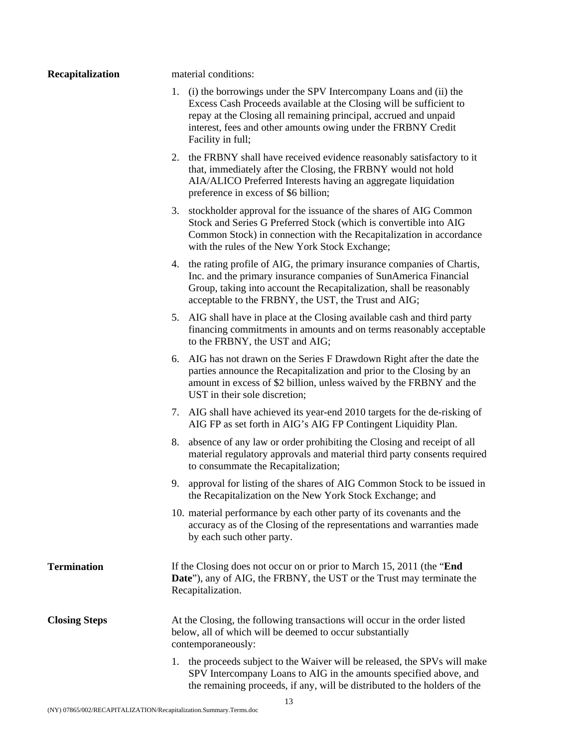**Recapitalization** material conditions:

- 1. (i) the borrowings under the SPV Intercompany Loans and (ii) the Excess Cash Proceeds available at the Closing will be sufficient to repay at the Closing all remaining principal, accrued and unpaid interest, fees and other amounts owing under the FRBNY Credit Facility in full;
- 2. the FRBNY shall have received evidence reasonably satisfactory to it that, immediately after the Closing, the FRBNY would not hold AIA/ALICO Preferred Interests having an aggregate liquidation preference in excess of \$6 billion;
- 3. stockholder approval for the issuance of the shares of AIG Common Stock and Series G Preferred Stock (which is convertible into AIG Common Stock) in connection with the Recapitalization in accordance with the rules of the New York Stock Exchange;
- 4. the rating profile of AIG, the primary insurance companies of Chartis, Inc. and the primary insurance companies of SunAmerica Financial Group, taking into account the Recapitalization, shall be reasonably acceptable to the FRBNY, the UST, the Trust and AIG;
- 5. AIG shall have in place at the Closing available cash and third party financing commitments in amounts and on terms reasonably acceptable to the FRBNY, the UST and AIG;
- 6. AIG has not drawn on the Series F Drawdown Right after the date the parties announce the Recapitalization and prior to the Closing by an amount in excess of \$2 billion, unless waived by the FRBNY and the UST in their sole discretion;
- 7. AIG shall have achieved its year-end 2010 targets for the de-risking of AIG FP as set forth in AIG's AIG FP Contingent Liquidity Plan.
- 8. absence of any law or order prohibiting the Closing and receipt of all material regulatory approvals and material third party consents required to consummate the Recapitalization;
- 9. approval for listing of the shares of AIG Common Stock to be issued in the Recapitalization on the New York Stock Exchange; and
- 10. material performance by each other party of its covenants and the accuracy as of the Closing of the representations and warranties made by each such other party.
- **Termination** If the Closing does not occur on or prior to March 15, 2011 (the "**End Date**"), any of AIG, the FRBNY, the UST or the Trust may terminate the Recapitalization.

**Closing Steps** At the Closing, the following transactions will occur in the order listed below, all of which will be deemed to occur substantially contemporaneously:

> 1. the proceeds subject to the Waiver will be released, the SPVs will make SPV Intercompany Loans to AIG in the amounts specified above, and the remaining proceeds, if any, will be distributed to the holders of the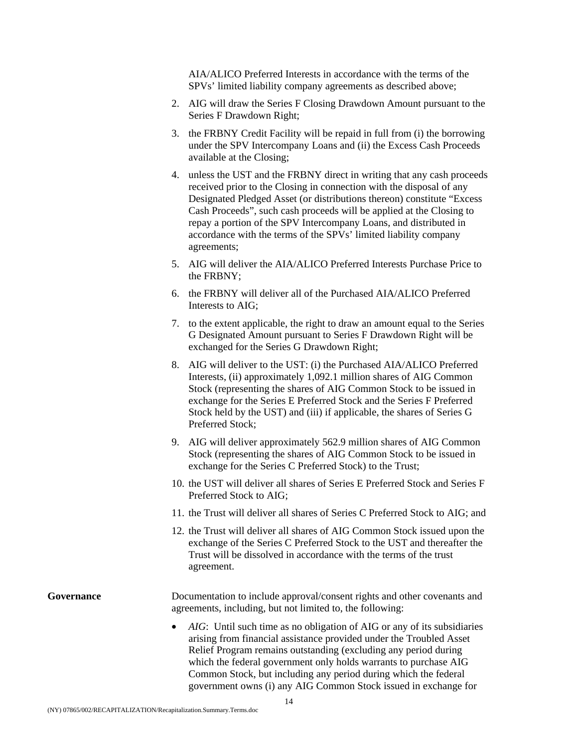AIA/ALICO Preferred Interests in accordance with the terms of the SPVs' limited liability company agreements as described above;

- 2. AIG will draw the Series F Closing Drawdown Amount pursuant to the Series F Drawdown Right;
- 3. the FRBNY Credit Facility will be repaid in full from (i) the borrowing under the SPV Intercompany Loans and (ii) the Excess Cash Proceeds available at the Closing;
- 4. unless the UST and the FRBNY direct in writing that any cash proceeds received prior to the Closing in connection with the disposal of any Designated Pledged Asset (or distributions thereon) constitute "Excess Cash Proceeds", such cash proceeds will be applied at the Closing to repay a portion of the SPV Intercompany Loans, and distributed in accordance with the terms of the SPVs' limited liability company agreements;
- 5. AIG will deliver the AIA/ALICO Preferred Interests Purchase Price to the FRBNY;
- 6. the FRBNY will deliver all of the Purchased AIA/ALICO Preferred Interests to AIG;
- 7. to the extent applicable, the right to draw an amount equal to the Series G Designated Amount pursuant to Series F Drawdown Right will be exchanged for the Series G Drawdown Right;
- 8. AIG will deliver to the UST: (i) the Purchased AIA/ALICO Preferred Interests, (ii) approximately 1,092.1 million shares of AIG Common Stock (representing the shares of AIG Common Stock to be issued in exchange for the Series E Preferred Stock and the Series F Preferred Stock held by the UST) and (iii) if applicable, the shares of Series G Preferred Stock;
- 9. AIG will deliver approximately 562.9 million shares of AIG Common Stock (representing the shares of AIG Common Stock to be issued in exchange for the Series C Preferred Stock) to the Trust;
- 10. the UST will deliver all shares of Series E Preferred Stock and Series F Preferred Stock to AIG;
- 11. the Trust will deliver all shares of Series C Preferred Stock to AIG; and
- 12. the Trust will deliver all shares of AIG Common Stock issued upon the exchange of the Series C Preferred Stock to the UST and thereafter the Trust will be dissolved in accordance with the terms of the trust agreement.

**Governance** Documentation to include approval/consent rights and other covenants and agreements, including, but not limited to, the following:

> • *AIG*: Until such time as no obligation of AIG or any of its subsidiaries arising from financial assistance provided under the Troubled Asset Relief Program remains outstanding (excluding any period during which the federal government only holds warrants to purchase AIG Common Stock, but including any period during which the federal government owns (i) any AIG Common Stock issued in exchange for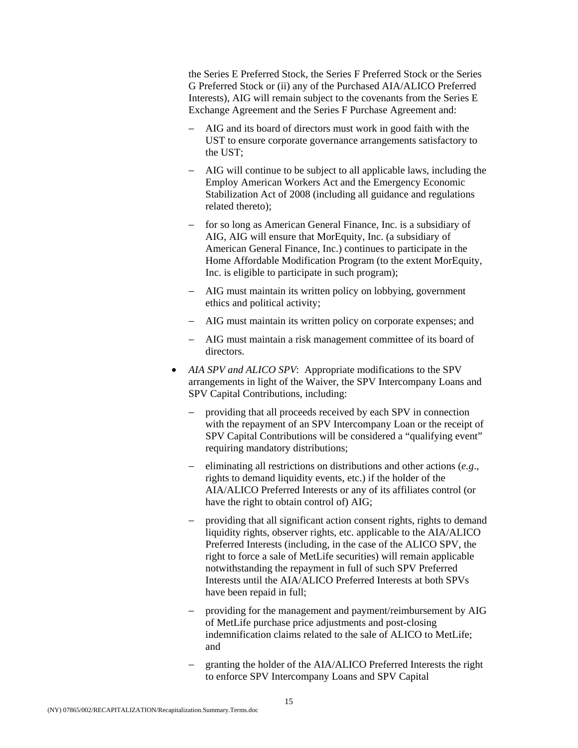the Series E Preferred Stock, the Series F Preferred Stock or the Series G Preferred Stock or (ii) any of the Purchased AIA/ALICO Preferred Interests), AIG will remain subject to the covenants from the Series E Exchange Agreement and the Series F Purchase Agreement and:

- − AIG and its board of directors must work in good faith with the UST to ensure corporate governance arrangements satisfactory to the UST;
- − AIG will continue to be subject to all applicable laws, including the Employ American Workers Act and the Emergency Economic Stabilization Act of 2008 (including all guidance and regulations related thereto);
- for so long as American General Finance, Inc. is a subsidiary of AIG, AIG will ensure that MorEquity, Inc. (a subsidiary of American General Finance, Inc.) continues to participate in the Home Affordable Modification Program (to the extent MorEquity, Inc. is eligible to participate in such program);
- − AIG must maintain its written policy on lobbying, government ethics and political activity;
- − AIG must maintain its written policy on corporate expenses; and
- − AIG must maintain a risk management committee of its board of directors.
- *AIA SPV and ALICO SPV*: Appropriate modifications to the SPV arrangements in light of the Waiver, the SPV Intercompany Loans and SPV Capital Contributions, including:
	- − providing that all proceeds received by each SPV in connection with the repayment of an SPV Intercompany Loan or the receipt of SPV Capital Contributions will be considered a "qualifying event" requiring mandatory distributions;
	- − eliminating all restrictions on distributions and other actions (*e.g*., rights to demand liquidity events, etc.) if the holder of the AIA/ALICO Preferred Interests or any of its affiliates control (or have the right to obtain control of) AIG;
	- − providing that all significant action consent rights, rights to demand liquidity rights, observer rights, etc. applicable to the AIA/ALICO Preferred Interests (including, in the case of the ALICO SPV, the right to force a sale of MetLife securities) will remain applicable notwithstanding the repayment in full of such SPV Preferred Interests until the AIA/ALICO Preferred Interests at both SPVs have been repaid in full;
	- providing for the management and payment/reimbursement by AIG of MetLife purchase price adjustments and post-closing indemnification claims related to the sale of ALICO to MetLife; and
	- granting the holder of the AIA/ALICO Preferred Interests the right to enforce SPV Intercompany Loans and SPV Capital